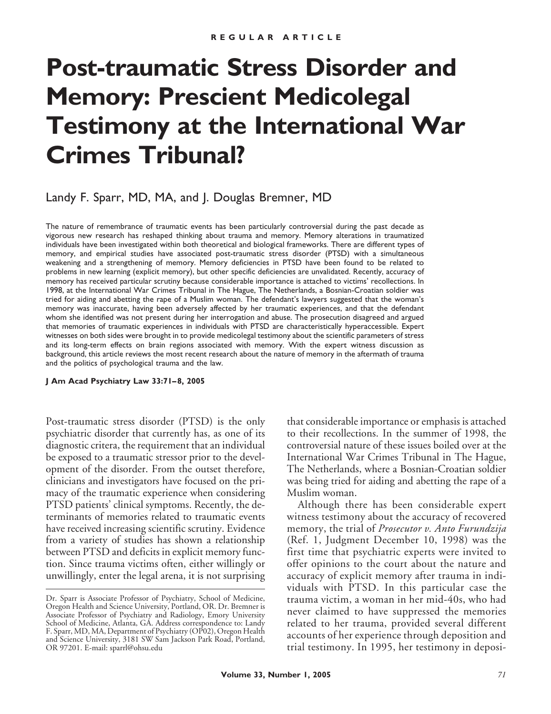# **Post-traumatic Stress Disorder and Memory: Prescient Medicolegal Testimony at the International War Crimes Tribunal?**

# Landy F. Sparr, MD, MA, and J. Douglas Bremner, MD

The nature of remembrance of traumatic events has been particularly controversial during the past decade as vigorous new research has reshaped thinking about trauma and memory. Memory alterations in traumatized individuals have been investigated within both theoretical and biological frameworks. There are different types of memory, and empirical studies have associated post-traumatic stress disorder (PTSD) with a simultaneous weakening and a strengthening of memory. Memory deficiencies in PTSD have been found to be related to problems in new learning (explicit memory), but other specific deficiencies are unvalidated. Recently, accuracy of memory has received particular scrutiny because considerable importance is attached to victims' recollections. In 1998, at the International War Crimes Tribunal in The Hague, The Netherlands, a Bosnian-Croatian soldier was tried for aiding and abetting the rape of a Muslim woman. The defendant's lawyers suggested that the woman's memory was inaccurate, having been adversely affected by her traumatic experiences, and that the defendant whom she identified was not present during her interrogation and abuse. The prosecution disagreed and argued that memories of traumatic experiences in individuals with PTSD are characteristically hyperaccessible. Expert witnesses on both sides were brought in to provide medicolegal testimony about the scientific parameters of stress and its long-term effects on brain regions associated with memory. With the expert witness discussion as background, this article reviews the most recent research about the nature of memory in the aftermath of trauma and the politics of psychological trauma and the law.

**J Am Acad Psychiatry Law 33:71– 8, 2005**

Post-traumatic stress disorder (PTSD) is the only psychiatric disorder that currently has, as one of its diagnostic critera, the requirement that an individual be exposed to a traumatic stressor prior to the development of the disorder. From the outset therefore, clinicians and investigators have focused on the primacy of the traumatic experience when considering PTSD patients' clinical symptoms. Recently, the determinants of memories related to traumatic events have received increasing scientific scrutiny. Evidence from a variety of studies has shown a relationship between PTSD and deficits in explicit memory function. Since trauma victims often, either willingly or unwillingly, enter the legal arena, it is not surprising

that considerable importance or emphasis is attached to their recollections. In the summer of 1998, the controversial nature of these issues boiled over at the International War Crimes Tribunal in The Hague, The Netherlands, where a Bosnian-Croatian soldier was being tried for aiding and abetting the rape of a Muslim woman.

Although there has been considerable expert witness testimony about the accuracy of recovered memory, the trial of *Prosecutor v. Anto Furundzija* (Ref. 1, Judgment December 10, 1998) was the first time that psychiatric experts were invited to offer opinions to the court about the nature and accuracy of explicit memory after trauma in individuals with PTSD. In this particular case the trauma victim, a woman in her mid-40s, who had never claimed to have suppressed the memories related to her trauma, provided several different accounts of her experience through deposition and trial testimony. In 1995, her testimony in deposi-

Dr. Sparr is Associate Professor of Psychiatry, School of Medicine, Oregon Health and Science University, Portland, OR. Dr. Bremner is Associate Professor of Psychiatry and Radiology, Emory University School of Medicine, Atlanta, GA. Address correspondence to: Landy F. Sparr, MD, MA, Department of Psychiatry (OP02), Oregon Health and Science University, 3181 SW Sam Jackson Park Road, Portland, OR 97201. E-mail: sparrl@ohsu.edu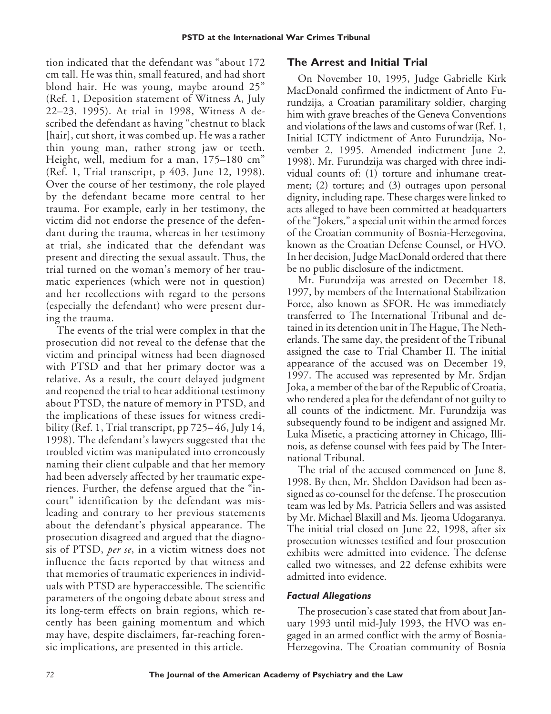tion indicated that the defendant was "about 172 cm tall. He was thin, small featured, and had short blond hair. He was young, maybe around 25" (Ref. 1, Deposition statement of Witness A, July 22–23, 1995). At trial in 1998, Witness A described the defendant as having "chestnut to black [hair], cut short, it was combed up. He was a rather thin young man, rather strong jaw or teeth. Height, well, medium for a man, 175–180 cm" (Ref. 1, Trial transcript, p 403, June 12, 1998). Over the course of her testimony, the role played by the defendant became more central to her trauma. For example, early in her testimony, the victim did not endorse the presence of the defendant during the trauma, whereas in her testimony at trial, she indicated that the defendant was present and directing the sexual assault. Thus, the trial turned on the woman's memory of her traumatic experiences (which were not in question) and her recollections with regard to the persons (especially the defendant) who were present during the trauma.

The events of the trial were complex in that the prosecution did not reveal to the defense that the victim and principal witness had been diagnosed with PTSD and that her primary doctor was a relative. As a result, the court delayed judgment and reopened the trial to hear additional testimony about PTSD, the nature of memory in PTSD, and the implications of these issues for witness credibility (Ref. 1, Trial transcript, pp 725– 46, July 14, 1998). The defendant's lawyers suggested that the troubled victim was manipulated into erroneously naming their client culpable and that her memory had been adversely affected by her traumatic experiences. Further, the defense argued that the "incourt" identification by the defendant was misleading and contrary to her previous statements about the defendant's physical appearance. The prosecution disagreed and argued that the diagnosis of PTSD, *per se*, in a victim witness does not influence the facts reported by that witness and that memories of traumatic experiences in individuals with PTSD are hyperaccessible. The scientific parameters of the ongoing debate about stress and its long-term effects on brain regions, which recently has been gaining momentum and which may have, despite disclaimers, far-reaching forensic implications, are presented in this article.

#### **The Arrest and Initial Trial**

On November 10, 1995, Judge Gabrielle Kirk MacDonald confirmed the indictment of Anto Furundzija, a Croatian paramilitary soldier, charging him with grave breaches of the Geneva Conventions and violations of the laws and customs of war (Ref. 1, Initial ICTY indictment of Anto Furundzija, November 2, 1995. Amended indictment June 2, 1998). Mr. Furundzija was charged with three individual counts of: (1) torture and inhumane treatment; (2) torture; and (3) outrages upon personal dignity, including rape. These charges were linked to acts alleged to have been committed at headquarters of the "Jokers," a special unit within the armed forces of the Croatian community of Bosnia-Herzegovina, known as the Croatian Defense Counsel, or HVO. In her decision, Judge MacDonald ordered that there be no public disclosure of the indictment.

Mr. Furundzija was arrested on December 18, 1997, by members of the International Stabilization Force, also known as SFOR. He was immediately transferred to The International Tribunal and detained in its detention unit in The Hague, The Netherlands. The same day, the president of the Tribunal assigned the case to Trial Chamber II. The initial appearance of the accused was on December 19, 1997. The accused was represented by Mr. Srdjan Joka, a member of the bar of the Republic of Croatia, who rendered a plea for the defendant of not guilty to all counts of the indictment. Mr. Furundzija was subsequently found to be indigent and assigned Mr. Luka Misetic, a practicing attorney in Chicago, Illinois, as defense counsel with fees paid by The International Tribunal.

The trial of the accused commenced on June 8, 1998. By then, Mr. Sheldon Davidson had been assigned as co-counsel for the defense. The prosecution team was led by Ms. Patricia Sellers and was assisted by Mr. Michael Blaxill and Ms. Ijeoma Udogaranya. The initial trial closed on June 22, 1998, after six prosecution witnesses testified and four prosecution exhibits were admitted into evidence. The defense called two witnesses, and 22 defense exhibits were admitted into evidence.

#### *Factual Allegations*

The prosecution's case stated that from about January 1993 until mid-July 1993, the HVO was engaged in an armed conflict with the army of Bosnia-Herzegovina. The Croatian community of Bosnia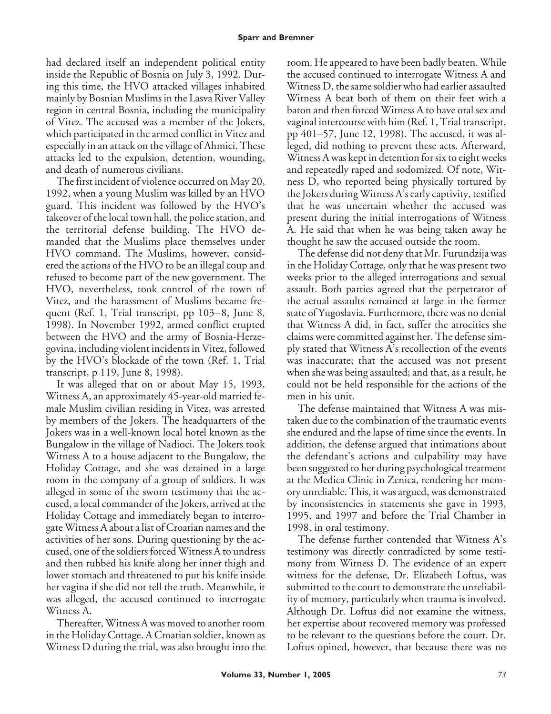#### **Sparr and Bremner**

had declared itself an independent political entity inside the Republic of Bosnia on July 3, 1992. During this time, the HVO attacked villages inhabited mainly by Bosnian Muslims in the Lasva River Valley region in central Bosnia, including the municipality of Vitez. The accused was a member of the Jokers, which participated in the armed conflict in Vitez and especially in an attack on the village of Ahmici. These attacks led to the expulsion, detention, wounding, and death of numerous civilians.

The first incident of violence occurred on May 20, 1992, when a young Muslim was killed by an HVO guard. This incident was followed by the HVO's takeover of the local town hall, the police station, and the territorial defense building. The HVO demanded that the Muslims place themselves under HVO command. The Muslims, however, considered the actions of the HVO to be an illegal coup and refused to become part of the new government. The HVO, nevertheless, took control of the town of Vitez, and the harassment of Muslims became frequent (Ref. 1, Trial transcript, pp 103–8, June 8, 1998). In November 1992, armed conflict erupted between the HVO and the army of Bosnia-Herzegovina, including violent incidents in Vitez, followed by the HVO's blockade of the town (Ref. 1, Trial transcript, p 119, June 8, 1998).

It was alleged that on or about May 15, 1993, Witness A, an approximately 45-year-old married female Muslim civilian residing in Vitez, was arrested by members of the Jokers. The headquarters of the Jokers was in a well-known local hotel known as the Bungalow in the village of Nadioci. The Jokers took Witness A to a house adjacent to the Bungalow, the Holiday Cottage, and she was detained in a large room in the company of a group of soldiers. It was alleged in some of the sworn testimony that the accused, a local commander of the Jokers, arrived at the Holiday Cottage and immediately began to interrogate Witness A about a list of Croatian names and the activities of her sons. During questioning by the accused, one of the soldiers forced Witness A to undress and then rubbed his knife along her inner thigh and lower stomach and threatened to put his knife inside her vagina if she did not tell the truth. Meanwhile, it was alleged, the accused continued to interrogate Witness A.

Thereafter, Witness A was moved to another room in the Holiday Cottage. A Croatian soldier, known as Witness D during the trial, was also brought into the room. He appeared to have been badly beaten. While the accused continued to interrogate Witness A and Witness D, the same soldier who had earlier assaulted Witness A beat both of them on their feet with a baton and then forced Witness A to have oral sex and vaginal intercourse with him (Ref. 1, Trial transcript, pp 401–57, June 12, 1998). The accused, it was alleged, did nothing to prevent these acts. Afterward, Witness A was kept in detention for six to eight weeks and repeatedly raped and sodomized. Of note, Witness D, who reported being physically tortured by the Jokers during Witness A's early captivity, testified that he was uncertain whether the accused was present during the initial interrogations of Witness A. He said that when he was being taken away he thought he saw the accused outside the room.

The defense did not deny that Mr. Furundzija was in the Holiday Cottage, only that he was present two weeks prior to the alleged interrogations and sexual assault. Both parties agreed that the perpetrator of the actual assaults remained at large in the former state of Yugoslavia. Furthermore, there was no denial that Witness A did, in fact, suffer the atrocities she claims were committed against her. The defense simply stated that Witness A's recollection of the events was inaccurate; that the accused was not present when she was being assaulted; and that, as a result, he could not be held responsible for the actions of the men in his unit.

The defense maintained that Witness A was mistaken due to the combination of the traumatic events she endured and the lapse of time since the events. In addition, the defense argued that intimations about the defendant's actions and culpability may have been suggested to her during psychological treatment at the Medica Clinic in Zenica, rendering her memory unreliable. This, it was argued, was demonstrated by inconsistencies in statements she gave in 1993, 1995, and 1997 and before the Trial Chamber in 1998, in oral testimony.

The defense further contended that Witness A's testimony was directly contradicted by some testimony from Witness D. The evidence of an expert witness for the defense, Dr. Elizabeth Loftus, was submitted to the court to demonstrate the unreliability of memory, particularly when trauma is involved. Although Dr. Loftus did not examine the witness, her expertise about recovered memory was professed to be relevant to the questions before the court. Dr. Loftus opined, however, that because there was no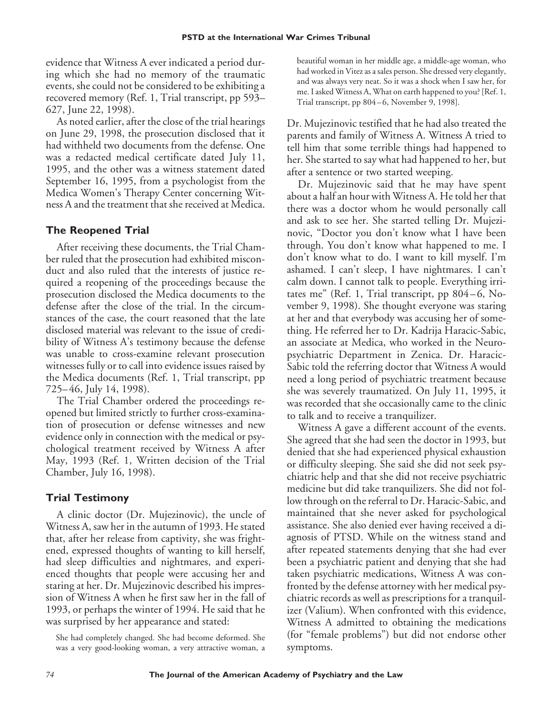evidence that Witness A ever indicated a period during which she had no memory of the traumatic events, she could not be considered to be exhibiting a recovered memory (Ref. 1, Trial transcript, pp 593– 627, June 22, 1998).

As noted earlier, after the close of the trial hearings on June 29, 1998, the prosecution disclosed that it had withheld two documents from the defense. One was a redacted medical certificate dated July 11, 1995, and the other was a witness statement dated September 16, 1995, from a psychologist from the Medica Women's Therapy Center concerning Witness A and the treatment that she received at Medica.

## **The Reopened Trial**

After receiving these documents, the Trial Chamber ruled that the prosecution had exhibited misconduct and also ruled that the interests of justice required a reopening of the proceedings because the prosecution disclosed the Medica documents to the defense after the close of the trial. In the circumstances of the case, the court reasoned that the late disclosed material was relevant to the issue of credibility of Witness A's testimony because the defense was unable to cross-examine relevant prosecution witnesses fully or to call into evidence issues raised by the Medica documents (Ref. 1, Trial transcript, pp 725– 46, July 14, 1998).

The Trial Chamber ordered the proceedings reopened but limited strictly to further cross-examination of prosecution or defense witnesses and new evidence only in connection with the medical or psychological treatment received by Witness A after May, 1993 (Ref. 1, Written decision of the Trial Chamber, July 16, 1998).

## **Trial Testimony**

A clinic doctor (Dr. Mujezinovic), the uncle of Witness A, saw her in the autumn of 1993. He stated that, after her release from captivity, she was frightened, expressed thoughts of wanting to kill herself, had sleep difficulties and nightmares, and experienced thoughts that people were accusing her and staring at her. Dr. Mujezinovic described his impression of Witness A when he first saw her in the fall of 1993, or perhaps the winter of 1994. He said that he was surprised by her appearance and stated:

She had completely changed. She had become deformed. She was a very good-looking woman, a very attractive woman, a beautiful woman in her middle age, a middle-age woman, who had worked in Vitez as a sales person. She dressed very elegantly, and was always very neat. So it was a shock when I saw her, for me. I asked Witness A, What on earth happened to you? [Ref. 1, Trial transcript, pp 804–6, November 9, 1998].

Dr. Mujezinovic testified that he had also treated the parents and family of Witness A. Witness A tried to tell him that some terrible things had happened to her. She started to say what had happened to her, but after a sentence or two started weeping.

Dr. Mujezinovic said that he may have spent about a half an hour with Witness A. He told her that there was a doctor whom he would personally call and ask to see her. She started telling Dr. Mujezinovic, "Doctor you don't know what I have been through. You don't know what happened to me. I don't know what to do. I want to kill myself. I'm ashamed. I can't sleep, I have nightmares. I can't calm down. I cannot talk to people. Everything irritates me" (Ref. 1, Trial transcript, pp  $804-6$ , November 9, 1998). She thought everyone was staring at her and that everybody was accusing her of something. He referred her to Dr. Kadrija Haracic-Sabic, an associate at Medica, who worked in the Neuropsychiatric Department in Zenica. Dr. Haracic-Sabic told the referring doctor that Witness A would need a long period of psychiatric treatment because she was severely traumatized. On July 11, 1995, it was recorded that she occasionally came to the clinic to talk and to receive a tranquilizer.

Witness A gave a different account of the events. She agreed that she had seen the doctor in 1993, but denied that she had experienced physical exhaustion or difficulty sleeping. She said she did not seek psychiatric help and that she did not receive psychiatric medicine but did take tranquilizers. She did not follow through on the referral to Dr. Haracic-Sabic, and maintained that she never asked for psychological assistance. She also denied ever having received a diagnosis of PTSD. While on the witness stand and after repeated statements denying that she had ever been a psychiatric patient and denying that she had taken psychiatric medications, Witness A was confronted by the defense attorney with her medical psychiatric records as well as prescriptions for a tranquilizer (Valium). When confronted with this evidence, Witness A admitted to obtaining the medications (for "female problems") but did not endorse other symptoms.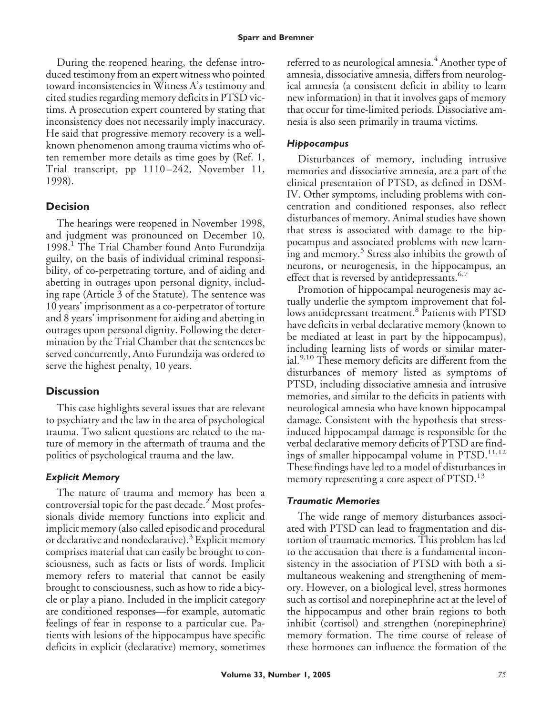During the reopened hearing, the defense introduced testimony from an expert witness who pointed toward inconsistencies in Witness A's testimony and cited studies regarding memory deficits in PTSD victims. A prosecution expert countered by stating that inconsistency does not necessarily imply inaccuracy. He said that progressive memory recovery is a wellknown phenomenon among trauma victims who often remember more details as time goes by (Ref. 1, Trial transcript, pp 1110 –242, November 11, 1998).

## **Decision**

The hearings were reopened in November 1998, and judgment was pronounced on December 10, 1998.<sup>1</sup> The Trial Chamber found Anto Furundzija guilty, on the basis of individual criminal responsibility, of co-perpetrating torture, and of aiding and abetting in outrages upon personal dignity, including rape (Article 3 of the Statute). The sentence was 10 years' imprisonment as a co-perpetrator of torture and 8 years' imprisonment for aiding and abetting in outrages upon personal dignity. Following the determination by the Trial Chamber that the sentences be served concurrently, Anto Furundzija was ordered to serve the highest penalty, 10 years.

#### **Discussion**

This case highlights several issues that are relevant to psychiatry and the law in the area of psychological trauma. Two salient questions are related to the nature of memory in the aftermath of trauma and the politics of psychological trauma and the law.

#### *Explicit Memory*

The nature of trauma and memory has been a controversial topic for the past decade.<sup>2</sup> Most professionals divide memory functions into explicit and implicit memory (also called episodic and procedural or declarative and nondeclarative).<sup>3</sup> Explicit memory comprises material that can easily be brought to consciousness, such as facts or lists of words. Implicit memory refers to material that cannot be easily brought to consciousness, such as how to ride a bicycle or play a piano. Included in the implicit category are conditioned responses—for example, automatic feelings of fear in response to a particular cue. Patients with lesions of the hippocampus have specific deficits in explicit (declarative) memory, sometimes referred to as neurological amnesia.<sup>4</sup> Another type of amnesia, dissociative amnesia, differs from neurological amnesia (a consistent deficit in ability to learn new information) in that it involves gaps of memory that occur for time-limited periods. Dissociative amnesia is also seen primarily in trauma victims.

#### *Hippocampus*

Disturbances of memory, including intrusive memories and dissociative amnesia, are a part of the clinical presentation of PTSD, as defined in DSM-IV. Other symptoms, including problems with concentration and conditioned responses, also reflect disturbances of memory. Animal studies have shown that stress is associated with damage to the hippocampus and associated problems with new learning and memory.<sup>5</sup> Stress also inhibits the growth of neurons, or neurogenesis, in the hippocampus, an effect that is reversed by antidepressants.<sup>6,7</sup>

Promotion of hippocampal neurogenesis may actually underlie the symptom improvement that follows antidepressant treatment.<sup>8</sup> Patients with PTSD have deficits in verbal declarative memory (known to be mediated at least in part by the hippocampus), including learning lists of words or similar material.<sup>9,10</sup> These memory deficits are different from the disturbances of memory listed as symptoms of PTSD, including dissociative amnesia and intrusive memories, and similar to the deficits in patients with neurological amnesia who have known hippocampal damage. Consistent with the hypothesis that stressinduced hippocampal damage is responsible for the verbal declarative memory deficits of PTSD are findings of smaller hippocampal volume in PTSD.<sup>11,12</sup> These findings have led to a model of disturbances in memory representing a core aspect of PTSD.<sup>13</sup>

#### *Traumatic Memories*

The wide range of memory disturbances associated with PTSD can lead to fragmentation and distortion of traumatic memories. This problem has led to the accusation that there is a fundamental inconsistency in the association of PTSD with both a simultaneous weakening and strengthening of memory. However, on a biological level, stress hormones such as cortisol and norepinephrine act at the level of the hippocampus and other brain regions to both inhibit (cortisol) and strengthen (norepinephrine) memory formation. The time course of release of these hormones can influence the formation of the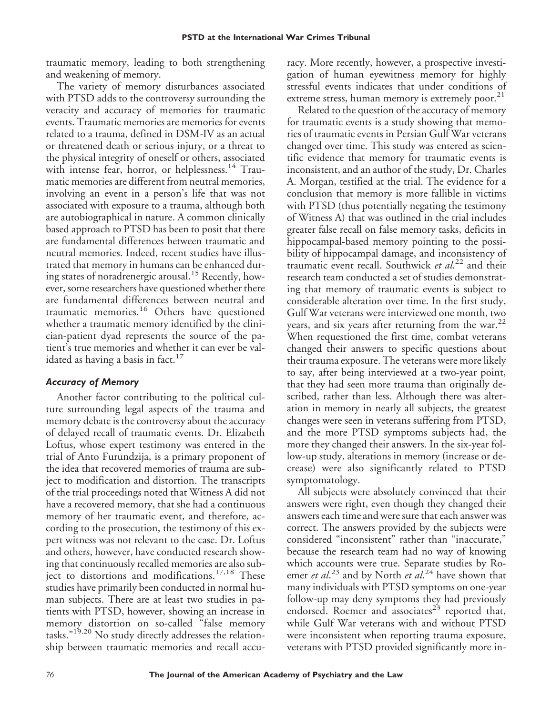traumatic memory, leading to both strengthening and weakening of memory.

The variety of memory disturbances associated with PTSD adds to the controversy surrounding the veracity and accuracy of memories for traumatic events. Traumatic memories are memories for events related to a trauma, defined in DSM-IV as an actual or threatened death or serious injury, or a threat to the physical integrity of oneself or others, associated with intense fear, horror, or helplessness.<sup>14</sup> Traumatic memories are different from neutral memories, involving an event in a person's life that was not associated with exposure to a trauma, although both are autobiographical in nature. A common clinically based approach to PTSD has been to posit that there are fundamental differences between traumatic and neutral memories. Indeed, recent studies have illustrated that memory in humans can be enhanced during states of noradrenergic arousal.<sup>15</sup> Recently, however, some researchers have questioned whether there are fundamental differences between neutral and traumatic memories.<sup>16</sup> Others have questioned whether a traumatic memory identified by the clinician-patient dyad represents the source of the patient's true memories and whether it can ever be validated as having a basis in fact.<sup>17</sup>

#### *Accuracy of Memory*

Another factor contributing to the political culture surrounding legal aspects of the trauma and memory debate is the controversy about the accuracy of delayed recall of traumatic events. Dr. Elizabeth Loftus, whose expert testimony was entered in the trial of Anto Furundzija, is a primary proponent of the idea that recovered memories of trauma are subject to modification and distortion. The transcripts of the trial proceedings noted that Witness A did not have a recovered memory, that she had a continuous memory of her traumatic event, and therefore, according to the prosecution, the testimony of this expert witness was not relevant to the case. Dr. Loftus and others, however, have conducted research showing that continuously recalled memories are also subject to distortions and modifications.<sup>17,18</sup> These studies have primarily been conducted in normal human subjects. There are at least two studies in patients with PTSD, however, showing an increase in memory distortion on so-called "false memory tasks."<sup>19,20</sup> No study directly addresses the relationship between traumatic memories and recall accuracy. More recently, however, a prospective investigation of human eyewitness memory for highly stressful events indicates that under conditions of extreme stress, human memory is extremely poor.<sup>21</sup>

Related to the question of the accuracy of memory for traumatic events is a study showing that memories of traumatic events in Persian Gulf War veterans changed over time. This study was entered as scientific evidence that memory for traumatic events is inconsistent, and an author of the study, Dr. Charles A. Morgan, testified at the trial. The evidence for a conclusion that memory is more fallible in victims with PTSD (thus potentially negating the testimony of Witness A) that was outlined in the trial includes greater false recall on false memory tasks, deficits in hippocampal-based memory pointing to the possibility of hippocampal damage, and inconsistency of traumatic event recall. Southwick *et al*. <sup>22</sup> and their research team conducted a set of studies demonstrating that memory of traumatic events is subject to considerable alteration over time. In the first study, Gulf War veterans were interviewed one month, two years, and six years after returning from the war.<sup>22</sup> When requestioned the first time, combat veterans changed their answers to specific questions about their trauma exposure. The veterans were more likely to say, after being interviewed at a two-year point, that they had seen more trauma than originally described, rather than less. Although there was alteration in memory in nearly all subjects, the greatest changes were seen in veterans suffering from PTSD, and the more PTSD symptoms subjects had, the more they changed their answers. In the six-year follow-up study, alterations in memory (increase or decrease) were also significantly related to PTSD symptomatology.

All subjects were absolutely convinced that their answers were right, even though they changed their answers each time and were sure that each answer was correct. The answers provided by the subjects were considered "inconsistent" rather than "inaccurate," because the research team had no way of knowing which accounts were true. Separate studies by Roemer *et al.*<sup>23</sup> and by North *et al.*<sup>24</sup> have shown that many individuals with PTSD symptoms on one-year follow-up may deny symptoms they had previously endorsed. Roemer and associates $^{23}$  reported that, while Gulf War veterans with and without PTSD were inconsistent when reporting trauma exposure, veterans with PTSD provided significantly more in-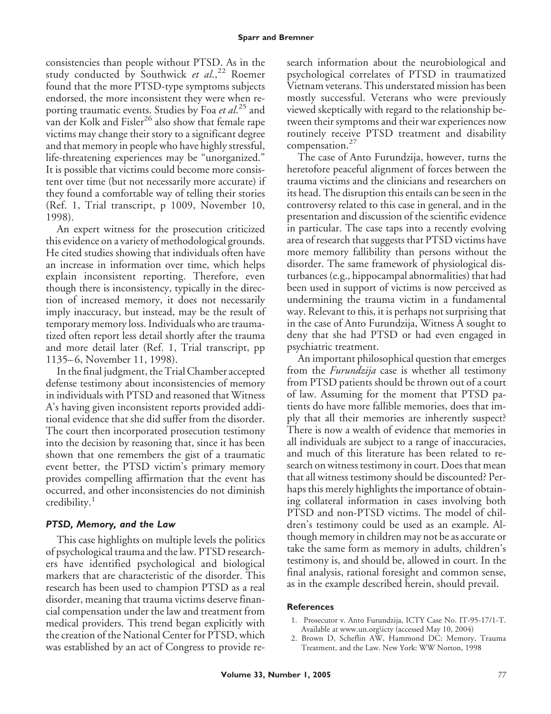consistencies than people without PTSD. As in the study conducted by Southwick et al.,<sup>22</sup> Roemer found that the more PTSD-type symptoms subjects endorsed, the more inconsistent they were when reporting traumatic events. Studies by Foa *et al*. <sup>25</sup> and van der Kolk and Fisler<sup>26</sup> also show that female rape victims may change their story to a significant degree and that memory in people who have highly stressful, life-threatening experiences may be "unorganized." It is possible that victims could become more consistent over time (but not necessarily more accurate) if they found a comfortable way of telling their stories (Ref. 1, Trial transcript, p 1009, November 10, 1998).

An expert witness for the prosecution criticized this evidence on a variety of methodological grounds. He cited studies showing that individuals often have an increase in information over time, which helps explain inconsistent reporting. Therefore, even though there is inconsistency, typically in the direction of increased memory, it does not necessarily imply inaccuracy, but instead, may be the result of temporary memory loss. Individuals who are traumatized often report less detail shortly after the trauma and more detail later (Ref. 1, Trial transcript, pp 1135– 6, November 11, 1998).

In the final judgment, the Trial Chamber accepted defense testimony about inconsistencies of memory in individuals with PTSD and reasoned that Witness A's having given inconsistent reports provided additional evidence that she did suffer from the disorder. The court then incorporated prosecution testimony into the decision by reasoning that, since it has been shown that one remembers the gist of a traumatic event better, the PTSD victim's primary memory provides compelling affirmation that the event has occurred, and other inconsistencies do not diminish  $c$ redibility.<sup>1</sup>

#### *PTSD, Memory, and the Law*

This case highlights on multiple levels the politics of psychological trauma and the law. PTSD researchers have identified psychological and biological markers that are characteristic of the disorder. This research has been used to champion PTSD as a real disorder, meaning that trauma victims deserve financial compensation under the law and treatment from medical providers. This trend began explicitly with the creation of the National Center for PTSD, which was established by an act of Congress to provide research information about the neurobiological and psychological correlates of PTSD in traumatized Vietnam veterans. This understated mission has been mostly successful. Veterans who were previously viewed skeptically with regard to the relationship between their symptoms and their war experiences now routinely receive PTSD treatment and disability compensation.<sup>27</sup>

The case of Anto Furundzija, however, turns the heretofore peaceful alignment of forces between the trauma victims and the clinicians and researchers on its head. The disruption this entails can be seen in the controversy related to this case in general, and in the presentation and discussion of the scientific evidence in particular. The case taps into a recently evolving area of research that suggests that PTSD victims have more memory fallibility than persons without the disorder. The same framework of physiological disturbances (e.g., hippocampal abnormalities) that had been used in support of victims is now perceived as undermining the trauma victim in a fundamental way. Relevant to this, it is perhaps not surprising that in the case of Anto Furundzija, Witness A sought to deny that she had PTSD or had even engaged in psychiatric treatment.

An important philosophical question that emerges from the *Furundzija* case is whether all testimony from PTSD patients should be thrown out of a court of law. Assuming for the moment that PTSD patients do have more fallible memories, does that imply that all their memories are inherently suspect? There is now a wealth of evidence that memories in all individuals are subject to a range of inaccuracies, and much of this literature has been related to research on witness testimony in court. Does that mean that all witness testimony should be discounted? Perhaps this merely highlights the importance of obtaining collateral information in cases involving both PTSD and non-PTSD victims. The model of children's testimony could be used as an example. Although memory in children may not be as accurate or take the same form as memory in adults, children's testimony is, and should be, allowed in court. In the final analysis, rational foresight and common sense, as in the example described herein, should prevail.

#### **References**

- 1. Prosecutor v. Anto Furundzija, ICTY Case No. IT-95-17/1-T. Available at www.un.org\icty (accessed May 10, 2004)
- 2. Brown D, Scheflin AW, Hammond DC: Memory, Trauma Treatment, and the Law. New York: WW Norton, 1998